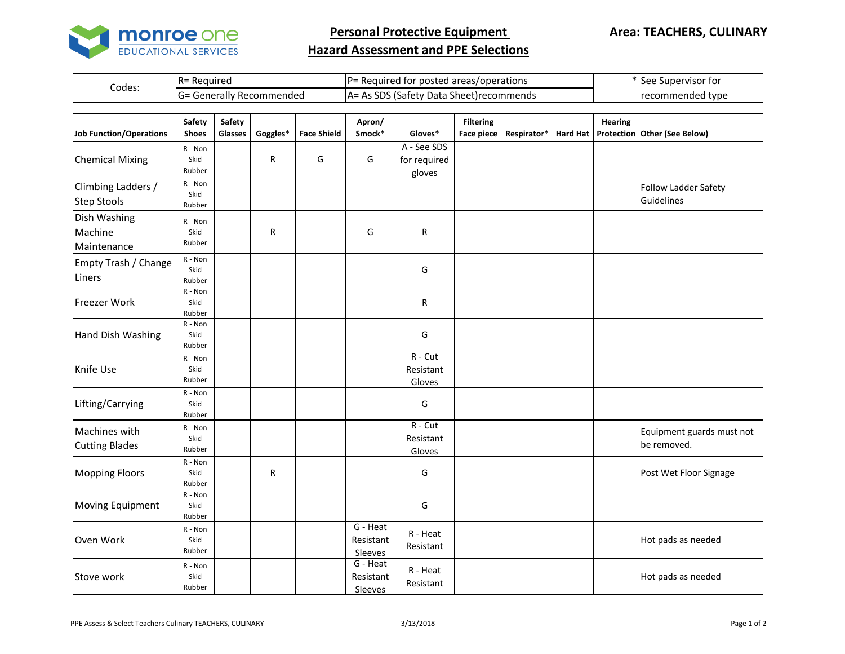

**Personal Protective Equipment** 

## **Hazard Assessment and PPE Selections**

| Codes: | <b>R</b> = Required            | IP= Required for posted areas/operations | 'See Supervisor for |  |  |
|--------|--------------------------------|------------------------------------------|---------------------|--|--|
|        | - Generally Recommended<br>=טו | A= As SDS (Safety Data Sheet) recommends | recommended type    |  |  |

| Job Function/Operations                  | Safety<br><b>Shoes</b>       | Safety<br>Glasses | Goggles* | <b>Face Shield</b> | Apron/<br>Smock*                 | Gloves*                               | <b>Filtering</b><br><b>Face piece</b> | Respirator* | <b>Hard Hat</b> | <b>Hearing</b> | Protection Other (See Below)             |
|------------------------------------------|------------------------------|-------------------|----------|--------------------|----------------------------------|---------------------------------------|---------------------------------------|-------------|-----------------|----------------|------------------------------------------|
| <b>Chemical Mixing</b>                   | $R - N$ on<br>Skid<br>Rubber |                   | R        | G                  | G                                | A - See SDS<br>for required<br>gloves |                                       |             |                 |                |                                          |
| Climbing Ladders /<br><b>Step Stools</b> | R - Non<br>Skid<br>Rubber    |                   |          |                    |                                  |                                       |                                       |             |                 |                | Follow Ladder Safety<br>Guidelines       |
| Dish Washing<br>Machine<br>Maintenance   | R - Non<br>Skid<br>Rubber    |                   | R        |                    | G                                | $\mathsf R$                           |                                       |             |                 |                |                                          |
| Empty Trash / Change<br>Liners           | R - Non<br>Skid<br>Rubber    |                   |          |                    |                                  | G                                     |                                       |             |                 |                |                                          |
| Freezer Work                             | $R - N$ on<br>Skid<br>Rubber |                   |          |                    |                                  | R                                     |                                       |             |                 |                |                                          |
| Hand Dish Washing                        | R - Non<br>Skid<br>Rubber    |                   |          |                    |                                  | G                                     |                                       |             |                 |                |                                          |
| Knife Use                                | R - Non<br>Skid<br>Rubber    |                   |          |                    |                                  | $R - Cut$<br>Resistant<br>Gloves      |                                       |             |                 |                |                                          |
| Lifting/Carrying                         | R - Non<br>Skid<br>Rubber    |                   |          |                    |                                  | G                                     |                                       |             |                 |                |                                          |
| Machines with<br><b>Cutting Blades</b>   | R - Non<br>Skid<br>Rubber    |                   |          |                    |                                  | $R - Cut$<br>Resistant<br>Gloves      |                                       |             |                 |                | Equipment guards must not<br>be removed. |
| <b>Mopping Floors</b>                    | R - Non<br>Skid<br>Rubber    |                   | R        |                    |                                  | G                                     |                                       |             |                 |                | Post Wet Floor Signage                   |
| Moving Equipment                         | $R - N$ on<br>Skid<br>Rubber |                   |          |                    |                                  | G                                     |                                       |             |                 |                |                                          |
| Oven Work                                | R - Non<br>Skid<br>Rubber    |                   |          |                    | G - Heat<br>Resistant<br>Sleeves | R - Heat<br>Resistant                 |                                       |             |                 |                | Hot pads as needed                       |
| Stove work                               | R - Non<br>Skid<br>Rubber    |                   |          |                    | G - Heat<br>Resistant<br>Sleeves | R - Heat<br>Resistant                 |                                       |             |                 |                | Hot pads as needed                       |